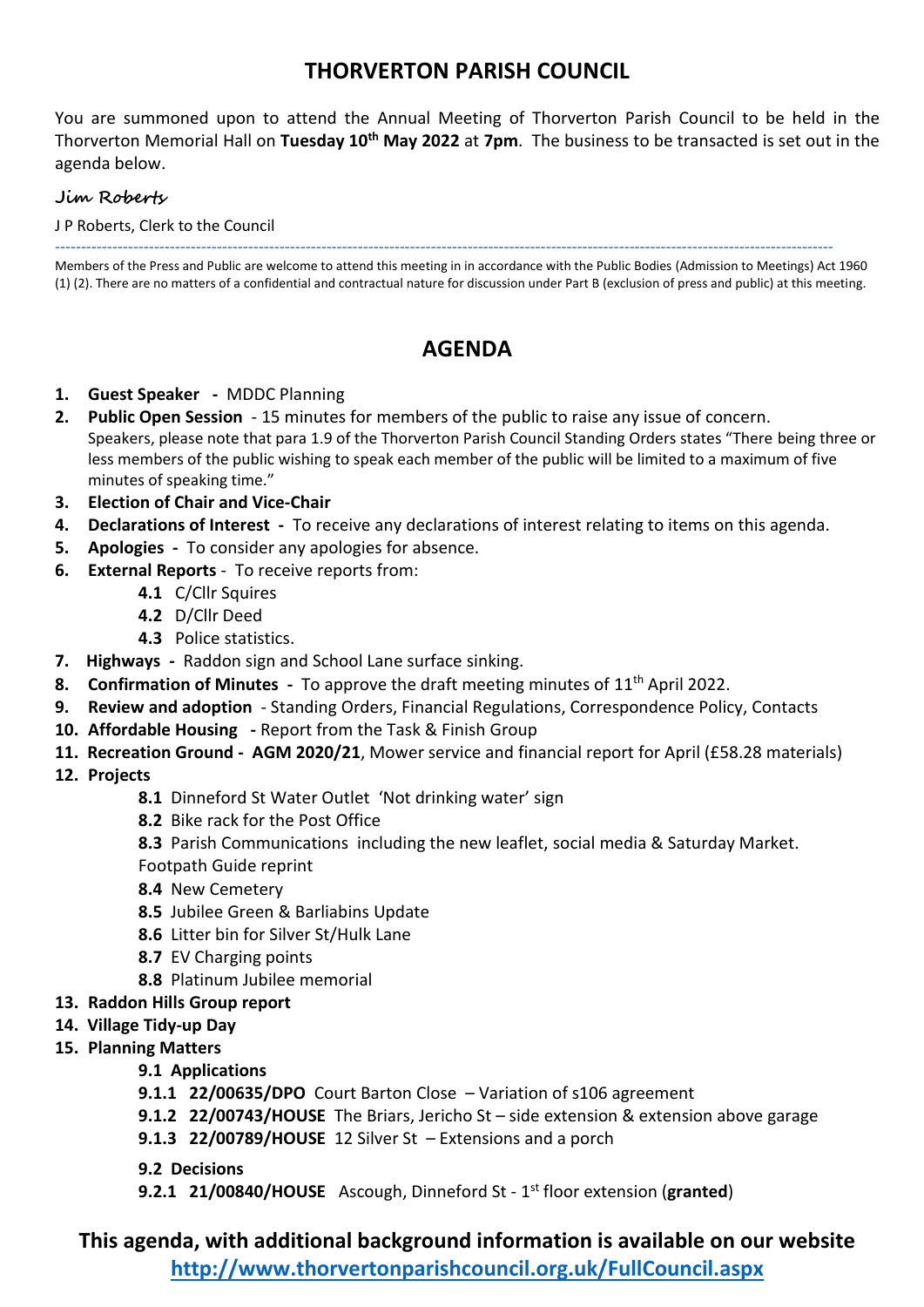## **THORVERTON PARISH COUNCIL**

You are summoned upon to attend the Annual Meeting of Thorverton Parish Council to be held in the Thorverton Memorial Hall on **Tuesday 10th May 2022** at **7pm**. The business to be transacted is set out in the agenda below.

#### **Jim Roberts**

J P Roberts, Clerk to the Council

----------------------------------------------------------------------------------------------------------------------------------------------------- Members of the Press and Public are welcome to attend this meeting in in accordance with the Public Bodies (Admission to Meetings) Act 1960 (1) (2). There are no matters of a confidential and contractual nature for discussion under Part B (exclusion of press and public) at this meeting.

# **AGENDA**

- **1. Guest Speaker** MDDC Planning
- **2. Public Open Session** 15 minutes for members of the public to raise any issue of concern. Speakers, please note that para 1.9 of the Thorverton Parish Council Standing Orders states "There being three or less members of the public wishing to speak each member of the public will be limited to a maximum of five minutes of speaking time."
- **3. Election of Chair and Vice-Chair**
- **4. Declarations of Interest** To receive any declarations of interest relating to items on this agenda.
- **5. Apologies** To consider any apologies for absence.
- **6. External Reports** To receive reports from:
	- **4.1** C/Cllr Squires
	- **4.2** D/Cllr Deed
	- **4.3** Police statistics.
- **7. Highways** Raddon sign and School Lane surface sinking.
- **8. Confirmation of Minutes** To approve the draft meeting minutes of 11<sup>th</sup> April 2022.
- **9. Review and adoption**  Standing Orders, Financial Regulations, Correspondence Policy, Contacts
- **10. Affordable Housing -** Report from the Task & Finish Group
- **11. Recreation Ground AGM 2020/21**, Mower service and financial report for April (£58.28 materials)
- **12. Projects**
	- **8.1** Dinneford St Water Outlet 'Not drinking water' sign
	- **8.2** Bike rack for the Post Office
	- **8.3** Parish Communications including the new leaflet, social media & Saturday Market.
	- Footpath Guide reprint
	- **8.4** New Cemetery
	- **8.5** Jubilee Green & Barliabins Update
	- **8.6** Litter bin for Silver St/Hulk Lane
	- **8.7** EV Charging points
	- **8.8** Platinum Jubilee memorial
- **13. Raddon Hills Group report**
- **14. Village Tidy-up Day**
- **15. Planning Matters**

#### **9.1 Applications**

- **9.1.1 22/00635/DPO** Court Barton Close Variation of s106 agreement
- **9.1.2 22/00743/HOUSE** The Briars, Jericho St side extension & extension above garage
- **9.1.3 22/00789/HOUSE** 12 Silver St Extensions and a porch
- **9.2 Decisions**
- **9.2.1 21/00840/HOUSE** Ascough, Dinneford St 1 st floor extension (**granted**)

**This agenda, with additional background information is available on our website** 

**<http://www.thorvertonparishcouncil.org.uk/FullCouncil.aspx>**